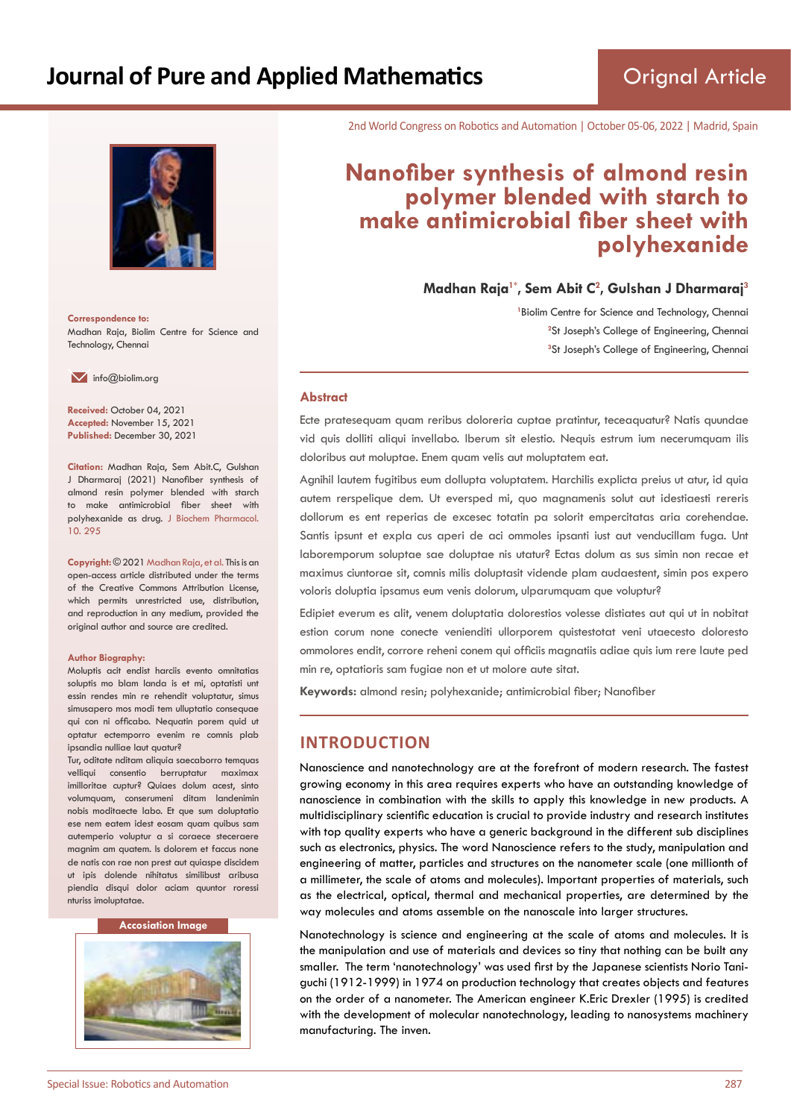

**Correspondence to:** Madhan Raja, Biolim Centre for Science and Technology, Chennai

 $\blacksquare$  info@biolim.org

**Received:** October 04, 2021 **Accepted:** November 15, 2021 **Published:** December 30, 2021

**Citation:** Madhan Raja, Sem Abit.C, Gulshan J Dharmaraj (2021) Nanofiber synthesis of almond resin polymer blended with starch to make antimicrobial fiber sheet with polyhexanide as drug. J Biochem Pharmacol. 10. 295

**Copyright:** © 2021 Madhan Raja, et al. This is an open-access article distributed under the terms of the Creative Commons Attribution License, which permits unrestricted use, distribution, and reproduction in any medium, provided the original author and source are credited.

#### **Author Biography:**

Moluptis acit endist harciis evento omnitatias soluptis mo blam landa is et mi, optatisti unt essin rendes min re rehendit voluptatur, simus simusapero mos modi tem ulluptatio consequae qui con ni officabo. Nequatin porem quid ut optatur ectemporro evenim re comnis plab ipsandia nulliae laut quatur?

Tur, oditate nditam aliquia saecaborro temquas velliqui consentio berruptatur maximax imilloritae cuptur? Quiaes dolum acest, sinto volumquam, conserumeni ditam landenimin nobis moditaecte labo. Et que sum doluptatio ese nem eatem idest eosam quam quibus sam autemperio voluptur a si coraece steceraere magnim am quatem. Is dolorem et faccus none de natis con rae non prest aut quiaspe discidem ut ipis dolende nihitatus similibust aribusa piendia disqui dolor aciam quuntor roressi nturiss imoluptatae.

#### **Accosiation Image**



2nd World Congress on Robotics and Automation | October 05-06, 2022 | Madrid, Spain

# **Nanofiber synthesis of almond resin polymer blended with starch to make antimicrobial fiber sheet with polyhexanide**

**Madhan Raja1\*, Sem Abit C<sup>2</sup> , Gulshan J Dharmaraj<sup>3</sup>**

<sup>1</sup> Biolim Centre for Science and Technology, Chennai <sup>2</sup>St Joseph's College of Engineering, Chennai **3** St Joseph's College of Engineering, Chennai

#### **Abstract**

Ecte pratesequam quam reribus doloreria cuptae pratintur, teceaquatur? Natis quundae vid quis dolliti aliqui invellabo. Iberum sit elestio. Nequis estrum ium necerumquam ilis doloribus aut moluptae. Enem quam velis aut moluptatem eat.

Agnihil lautem fugitibus eum dollupta voluptatem. Harchilis explicta preius ut atur, id quia autem rerspelique dem. Ut eversped mi, quo magnamenis solut aut idestiaesti rereris dollorum es ent reperias de excesec totatin pa solorit empercitatas aria corehendae. Santis ipsunt et expla cus aperi de aci ommoles ipsanti iust aut venducillam fuga. Unt laboremporum soluptae sae doluptae nis utatur? Ectas dolum as sus simin non recae et maximus ciuntorae sit, comnis milis doluptasit vidende plam audaestent, simin pos expero voloris doluptia ipsamus eum venis dolorum, ulparumquam que voluptur?

Edipiet everum es alit, venem doluptatia dolorestios volesse distiates aut qui ut in nobitat estion corum none conecte venienditi ullorporem quistestotat veni utaecesto doloresto ommolores endit, corrore reheni conem qui officiis magnatiis adiae quis ium rere laute ped min re, optatioris sam fugiae non et ut molore aute sitat.

**Keywords:** almond resin; polyhexanide; antimicrobial fiber; Nanofiber

### **INTRODUCTION**

Nanoscience and nanotechnology are at the forefront of modern research. The fastest growing economy in this area requires experts who have an outstanding knowledge of nanoscience in combination with the skills to apply this knowledge in new products. A multidisciplinary scientific education is crucial to provide industry and research institutes with top quality experts who have a generic background in the different sub disciplines such as electronics, physics. The word Nanoscience refers to the study, manipulation and engineering of matter, particles and structures on the nanometer scale (one millionth of a millimeter, the scale of atoms and molecules). Important properties of materials, such as the electrical, optical, thermal and mechanical properties, are determined by the way molecules and atoms assemble on the nanoscale into larger structures.

Nanotechnology is science and engineering at the scale of atoms and molecules. It is the manipulation and use of materials and devices so tiny that nothing can be built any smaller. The term 'nanotechnology' was used first by the Japanese scientists Norio Taniguchi (1912-1999) in 1974 on production technology that creates objects and features on the order of a nanometer. The American engineer K.Eric Drexler (1995) is credited with the development of molecular nanotechnology, leading to nanosystems machinery manufacturing. The inven.